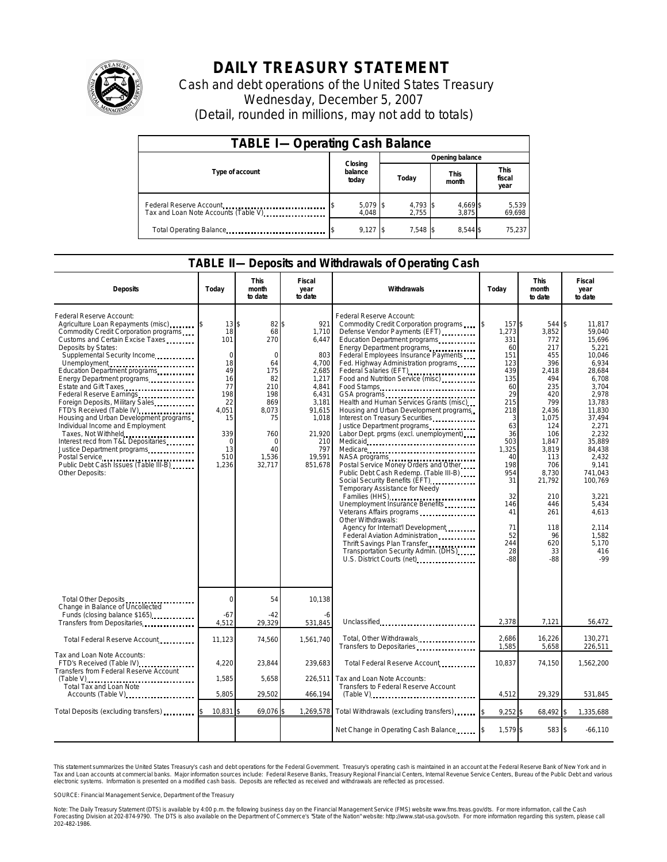

## **DAILY TREASURY STATEMENT**

Cash and debt operations of the United States Treasury Wednesday, December 5, 2007 (Detail, rounded in millions, may not add to totals)

| <b>TABLE I-Operating Cash Balance</b>                           |                             |                   |                      |                               |  |  |  |
|-----------------------------------------------------------------|-----------------------------|-------------------|----------------------|-------------------------------|--|--|--|
|                                                                 |                             | Opening balance   |                      |                               |  |  |  |
| Type of account                                                 | Closing<br>balance<br>today | Today             | <b>This</b><br>month | <b>This</b><br>fiscal<br>year |  |  |  |
| Federal Reserve Account<br>Tax and Loan Note Accounts (Table V) | $5,079$ \$<br>4,048         | 4,793 \$<br>2.755 | 4,669 \$<br>3.875    | 5,539<br>69,698               |  |  |  |
| Total Operating Balance                                         | $9,127$ \$                  | $7.548$ S         | 8.544 \$             | 75,237                        |  |  |  |

## **TABLE II—Deposits and Withdrawals of Operating Cash**

| <b>Deposits</b>                                                                                                                                                                                                                                                                                                                                                                                                                                                                                                                                                                                                                                | Today                                                                                                                    | <b>This</b><br>month<br>to date                                                                                                      | Fiscal<br>year<br>to date                                                                                                                               | Withdrawals                                                                                                                                                                                                                                                                                                                                                                                                                                                                                                                                                                                                                                                                                                                                                                                                                                                                                                                                                                                                                                                                                                                                                                                                          | Today                                                                                                                                                                                                            | <b>This</b><br>month<br>to date                                                                                                                                                                                             | Fiscal<br>year<br>to date                                                                                                                                                                                                                                                     |
|------------------------------------------------------------------------------------------------------------------------------------------------------------------------------------------------------------------------------------------------------------------------------------------------------------------------------------------------------------------------------------------------------------------------------------------------------------------------------------------------------------------------------------------------------------------------------------------------------------------------------------------------|--------------------------------------------------------------------------------------------------------------------------|--------------------------------------------------------------------------------------------------------------------------------------|---------------------------------------------------------------------------------------------------------------------------------------------------------|----------------------------------------------------------------------------------------------------------------------------------------------------------------------------------------------------------------------------------------------------------------------------------------------------------------------------------------------------------------------------------------------------------------------------------------------------------------------------------------------------------------------------------------------------------------------------------------------------------------------------------------------------------------------------------------------------------------------------------------------------------------------------------------------------------------------------------------------------------------------------------------------------------------------------------------------------------------------------------------------------------------------------------------------------------------------------------------------------------------------------------------------------------------------------------------------------------------------|------------------------------------------------------------------------------------------------------------------------------------------------------------------------------------------------------------------|-----------------------------------------------------------------------------------------------------------------------------------------------------------------------------------------------------------------------------|-------------------------------------------------------------------------------------------------------------------------------------------------------------------------------------------------------------------------------------------------------------------------------|
| Federal Reserve Account:<br>Agriculture Loan Repayments (misc)<br>Commodity Credit Corporation programs<br>Customs and Certain Excise Taxes<br>Deposits by States:<br>Supplemental Security Income<br>Unemployment<br>Education Department programs<br>Energy Department programs<br>Estate and Gift Taxes<br>Federal Reserve Earnings<br>Foreign Deposits, Military Sales<br>FTD's Received (Table IV)<br>Housing and Urban Development programs<br>Individual Income and Employment<br>Taxes, Not Withheld<br>Interest recd from T&L Depositaries<br>Justice Department programs<br>Public Debt Cash Issues (Table III-B)<br>Other Deposits: | 13<br>18<br>101<br>$\Omega$<br>18<br>49<br>16<br>77<br>198<br>22<br>4,051<br>15<br>339<br>$\Omega$<br>13<br>510<br>1,236 | 82<br>\$<br>68<br>270<br>$\Omega$<br>64<br>175<br>82<br>210<br>198<br>869<br>8,073<br>75<br>760<br>$\Omega$<br>40<br>1,536<br>32,717 | 921<br>ቁ<br>1,710<br>6,447<br>803<br>4,700<br>2,685<br>1,217<br>4,841<br>6,431<br>3,181<br>91,615<br>1,018<br>21,920<br>210<br>797<br>19,591<br>851,678 | Federal Reserve Account:<br>Commodity Credit Corporation programs<br>Defense Vendor Payments (EFT)<br>Education Department programs<br>Energy Department programs<br>Federal Employees Insurance Payments<br>Fed. Highway Administration programs<br>Federal Salaries (EFT)<br>1991 - 1992 - 1992 - 1993 - 1994 - 1995 - 1996 - 1997 - 1998 - 1999 - 1999 - 1999 - 1999 - 1999 - 1999 - 1999 - 1999 - 1999 - 1999 - 1999 - 1999 - 1999 - 1999 - 1999 - 1999 - 1999 - 1999 - 1999 - 19<br>Food and Nutrition Service (misc)<br>Food Stamps<br>Health and Human Services Grants (misc)<br>Housing and Urban Development programs<br>Interest on Treasury Securities<br>Justice Department programs<br>Labor Dept. prgms (excl. unemployment)<br>Medicare<br>NASA programs<br>Postal Service Money Orders and Other<br>Public Debt Cash Redemp. (Table III-B)<br>Social Security Benefits (EFT)<br>Temporary Assistance for Needy<br>Families (HHS)<br>Unemployment Insurance Benefits<br>Veterans Affairs programs<br>Other Withdrawals:<br>Agency for Internat'l Development<br>Federal Aviation Administration<br>Thrift Savings Plan Transfer<br>Transportation Security Admin. (DHS)<br>U.S. District Courts (net) | $\mathsf{\$}$<br>157\$<br>1,273<br>331<br>60<br>151<br>123<br>439<br>135<br>60<br>29<br>215<br>218<br>3<br>63<br>36<br>503<br>1,325<br>40<br>198<br>954<br>31<br>32<br>146<br>41<br>71<br>52<br>244<br>28<br>-88 | 544 \$<br>3,852<br>772<br>217<br>455<br>396<br>2,418<br>494<br>235<br>420<br>799<br>2,436<br>1,075<br>124<br>106<br>1,847<br>3,819<br>113<br>706<br>8,730<br>21,792<br>210<br>446<br>261<br>118<br>96<br>620<br>33<br>$-88$ | 11.817<br>59,040<br>15.696<br>5,221<br>10.046<br>6,934<br>28.684<br>6,708<br>3,704<br>2,978<br>13.783<br>11.830<br>37,494<br>2,271<br>2.232<br>35,889<br>84,438<br>2.432<br>9.141<br>741.043<br>100.769<br>3.221<br>5,434<br>4.613<br>2.114<br>1,582<br>5.170<br>416<br>$-99$ |
| Total Other Deposits<br>Change in Balance of Uncollected                                                                                                                                                                                                                                                                                                                                                                                                                                                                                                                                                                                       | $\overline{0}$                                                                                                           | 54                                                                                                                                   | 10,138                                                                                                                                                  |                                                                                                                                                                                                                                                                                                                                                                                                                                                                                                                                                                                                                                                                                                                                                                                                                                                                                                                                                                                                                                                                                                                                                                                                                      |                                                                                                                                                                                                                  |                                                                                                                                                                                                                             |                                                                                                                                                                                                                                                                               |
| Funds (closing balance \$165)<br>Transfers from Depositaries                                                                                                                                                                                                                                                                                                                                                                                                                                                                                                                                                                                   | $-67$<br>4,512                                                                                                           | $-42$<br>29.329                                                                                                                      | 531,845                                                                                                                                                 | Unclassified                                                                                                                                                                                                                                                                                                                                                                                                                                                                                                                                                                                                                                                                                                                                                                                                                                                                                                                                                                                                                                                                                                                                                                                                         | 2.378                                                                                                                                                                                                            | 7.121                                                                                                                                                                                                                       | 56.472                                                                                                                                                                                                                                                                        |
| Total Federal Reserve Account                                                                                                                                                                                                                                                                                                                                                                                                                                                                                                                                                                                                                  | 11,123                                                                                                                   | 74,560                                                                                                                               | 1,561,740                                                                                                                                               | Total, Other Withdrawals<br>Transfers to Depositaries                                                                                                                                                                                                                                                                                                                                                                                                                                                                                                                                                                                                                                                                                                                                                                                                                                                                                                                                                                                                                                                                                                                                                                | 2,686<br>1,585                                                                                                                                                                                                   | 16,226<br>5,658                                                                                                                                                                                                             | 130,271<br>226,511                                                                                                                                                                                                                                                            |
| Tax and Loan Note Accounts:<br>FTD's Received (Table IV)<br>Transfers from Federal Reserve Account                                                                                                                                                                                                                                                                                                                                                                                                                                                                                                                                             | 4,220                                                                                                                    | 23,844                                                                                                                               | 239,683                                                                                                                                                 | Total Federal Reserve Account                                                                                                                                                                                                                                                                                                                                                                                                                                                                                                                                                                                                                                                                                                                                                                                                                                                                                                                                                                                                                                                                                                                                                                                        | 10,837                                                                                                                                                                                                           | 74,150                                                                                                                                                                                                                      | 1,562,200                                                                                                                                                                                                                                                                     |
| $(Table V)$<br>Total Tax and Loan Note                                                                                                                                                                                                                                                                                                                                                                                                                                                                                                                                                                                                         | 1,585                                                                                                                    | 5,658                                                                                                                                | 226,511                                                                                                                                                 | Tax and Loan Note Accounts:<br>Transfers to Federal Reserve Account                                                                                                                                                                                                                                                                                                                                                                                                                                                                                                                                                                                                                                                                                                                                                                                                                                                                                                                                                                                                                                                                                                                                                  |                                                                                                                                                                                                                  |                                                                                                                                                                                                                             |                                                                                                                                                                                                                                                                               |
| Accounts (Table V)                                                                                                                                                                                                                                                                                                                                                                                                                                                                                                                                                                                                                             | 5,805                                                                                                                    | 29,502                                                                                                                               | 466,194                                                                                                                                                 |                                                                                                                                                                                                                                                                                                                                                                                                                                                                                                                                                                                                                                                                                                                                                                                                                                                                                                                                                                                                                                                                                                                                                                                                                      | 4,512                                                                                                                                                                                                            | 29,329                                                                                                                                                                                                                      | 531,845                                                                                                                                                                                                                                                                       |
| Total Deposits (excluding transfers)                                                                                                                                                                                                                                                                                                                                                                                                                                                                                                                                                                                                           | 10,831                                                                                                                   | 69,076                                                                                                                               | 1,269,578                                                                                                                                               | Total Withdrawals (excluding transfers)                                                                                                                                                                                                                                                                                                                                                                                                                                                                                                                                                                                                                                                                                                                                                                                                                                                                                                                                                                                                                                                                                                                                                                              | $9,252$ \$<br>\$                                                                                                                                                                                                 | 68,492 \$                                                                                                                                                                                                                   | 1,335,688                                                                                                                                                                                                                                                                     |
|                                                                                                                                                                                                                                                                                                                                                                                                                                                                                                                                                                                                                                                |                                                                                                                          |                                                                                                                                      |                                                                                                                                                         | Net Change in Operating Cash Balance                                                                                                                                                                                                                                                                                                                                                                                                                                                                                                                                                                                                                                                                                                                                                                                                                                                                                                                                                                                                                                                                                                                                                                                 | 1,579 \$                                                                                                                                                                                                         | 583 \$                                                                                                                                                                                                                      | $-66,110$                                                                                                                                                                                                                                                                     |

This statement summarizes the United States Treasury's cash and debt operations for the Federal Government. Treasury's operating cash is maintained in an account at the Federal Reserve Bank of New York and in<br>Tax and Loan narizes the United States Treasury's cash and debt operations for the Federal Government. Treasury's operating cash is maintained in an account at the Federal Reserve Bank of New York and in<br>ints at commercial banks. Major

SOURCE: Financial Management Service, Department of the Treasury

Note: The Daily Treasury Statement (DTS) is available by 4:00 p.m. the following business day on the Financial Management Service (FMS) website www.fms.treas.gov/dts. For more information, call the Cash<br>Forecasting Divisio 202-482-1986.